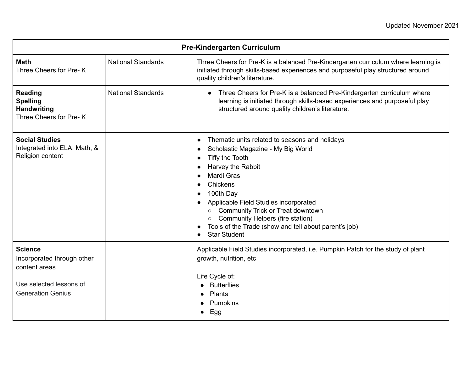| <b>Pre-Kindergarten Curriculum</b>                                                                                   |                           |                                                                                                                                                                                                                                                                                                                                                                                                                 |  |
|----------------------------------------------------------------------------------------------------------------------|---------------------------|-----------------------------------------------------------------------------------------------------------------------------------------------------------------------------------------------------------------------------------------------------------------------------------------------------------------------------------------------------------------------------------------------------------------|--|
| <b>Math</b><br>Three Cheers for Pre-K                                                                                | <b>National Standards</b> | Three Cheers for Pre-K is a balanced Pre-Kindergarten curriculum where learning is<br>initiated through skills-based experiences and purposeful play structured around<br>quality children's literature.                                                                                                                                                                                                        |  |
| <b>Reading</b><br><b>Spelling</b><br><b>Handwriting</b><br>Three Cheers for Pre-K                                    | <b>National Standards</b> | Three Cheers for Pre-K is a balanced Pre-Kindergarten curriculum where<br>learning is initiated through skills-based experiences and purposeful play<br>structured around quality children's literature.                                                                                                                                                                                                        |  |
| <b>Social Studies</b><br>Integrated into ELA, Math, &<br>Religion content                                            |                           | Thematic units related to seasons and holidays<br>$\bullet$<br>Scholastic Magazine - My Big World<br>Tiffy the Tooth<br>Harvey the Rabbit<br>Mardi Gras<br>Chickens<br>100th Day<br>Applicable Field Studies incorporated<br><b>Community Trick or Treat downtown</b><br>$\circ$<br>Community Helpers (fire station)<br>$\circ$<br>Tools of the Trade (show and tell about parent's job)<br><b>Star Student</b> |  |
| <b>Science</b><br>Incorporated through other<br>content areas<br>Use selected lessons of<br><b>Generation Genius</b> |                           | Applicable Field Studies incorporated, i.e. Pumpkin Patch for the study of plant<br>growth, nutrition, etc<br>Life Cycle of:<br><b>Butterflies</b><br><b>Plants</b><br>Pumpkins<br>Egg                                                                                                                                                                                                                          |  |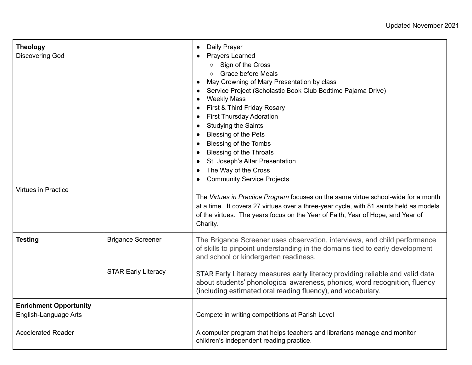| <b>Theology</b><br><b>Discovering God</b><br><b>Virtues in Practice</b> |                            | Daily Prayer<br>$\bullet$<br><b>Prayers Learned</b><br>○ Sign of the Cross<br><b>Grace before Meals</b><br>May Crowning of Mary Presentation by class<br>Service Project (Scholastic Book Club Bedtime Pajama Drive)<br><b>Weekly Mass</b><br>First & Third Friday Rosary<br><b>First Thursday Adoration</b><br>$\bullet$<br><b>Studying the Saints</b><br><b>Blessing of the Pets</b><br><b>Blessing of the Tombs</b><br><b>Blessing of the Throats</b><br>St. Joseph's Altar Presentation<br>The Way of the Cross<br><b>Community Service Projects</b><br>The Virtues in Practice Program focuses on the same virtue school-wide for a month |
|-------------------------------------------------------------------------|----------------------------|------------------------------------------------------------------------------------------------------------------------------------------------------------------------------------------------------------------------------------------------------------------------------------------------------------------------------------------------------------------------------------------------------------------------------------------------------------------------------------------------------------------------------------------------------------------------------------------------------------------------------------------------|
|                                                                         |                            | at a time. It covers 27 virtues over a three-year cycle, with 81 saints held as models<br>of the virtues. The years focus on the Year of Faith, Year of Hope, and Year of<br>Charity.                                                                                                                                                                                                                                                                                                                                                                                                                                                          |
| <b>Testing</b>                                                          | <b>Brigance Screener</b>   | The Brigance Screener uses observation, interviews, and child performance<br>of skills to pinpoint understanding in the domains tied to early development<br>and school or kindergarten readiness.                                                                                                                                                                                                                                                                                                                                                                                                                                             |
|                                                                         | <b>STAR Early Literacy</b> | STAR Early Literacy measures early literacy providing reliable and valid data<br>about students' phonological awareness, phonics, word recognition, fluency<br>(including estimated oral reading fluency), and vocabulary.                                                                                                                                                                                                                                                                                                                                                                                                                     |
| <b>Enrichment Opportunity</b><br>English-Language Arts                  |                            | Compete in writing competitions at Parish Level                                                                                                                                                                                                                                                                                                                                                                                                                                                                                                                                                                                                |
| <b>Accelerated Reader</b>                                               |                            | A computer program that helps teachers and librarians manage and monitor<br>children's independent reading practice.                                                                                                                                                                                                                                                                                                                                                                                                                                                                                                                           |